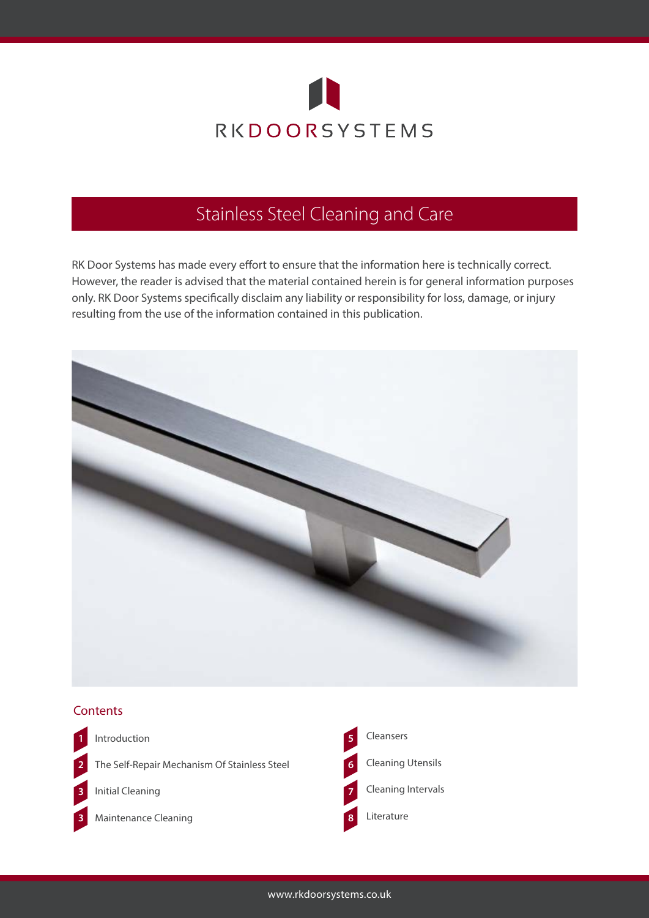

RK Door Systems has made every effort to ensure that the information here is technically correct. However, the reader is advised that the material contained herein is for general information purposes only. RK Door Systems specifically disclaim any liability or responsibility for loss, damage, or injury resulting from the use of the information contained in this publication.



#### **Contents**



Introduction **1 5**

The Self-Repair Mechanism Of Stainless Steel **2 6**

Initial Cleaning **3 7**



Maintenance Cleaning **3 8**

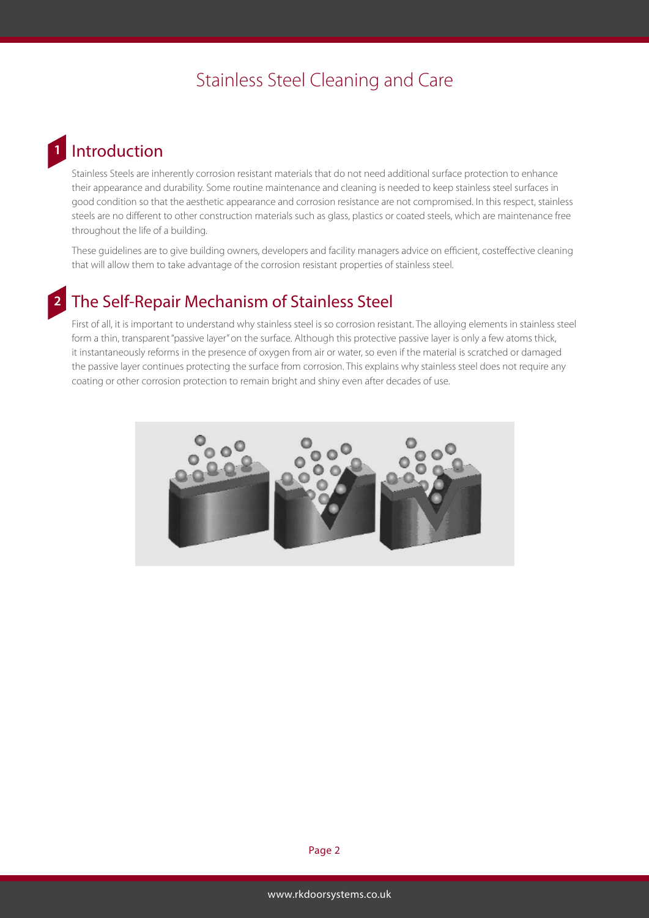#### **Introduction 1**

Stainless Steels are inherently corrosion resistant materials that do not need additional surface protection to enhance their appearance and durability. Some routine maintenance and cleaning is needed to keep stainless steel surfaces in good condition so that the aesthetic appearance and corrosion resistance are not compromised. In this respect, stainless steels are no different to other construction materials such as glass, plastics or coated steels, which are maintenance free throughout the life of a building.

These guidelines are to give building owners, developers and facility managers advice on efficient, costeffective cleaning that will allow them to take advantage of the corrosion resistant properties of stainless steel.

#### The Self-Repair Mechanism of Stainless Steel **2**

First of all, it is important to understand why stainless steel is so corrosion resistant. The alloying elements in stainless steel form a thin, transparent "passive layer" on the surface. Although this protective passive layer is only a few atoms thick, it instantaneously reforms in the presence of oxygen from air or water, so even if the material is scratched or damaged the passive layer continues protecting the surface from corrosion. This explains why stainless steel does not require any coating or other corrosion protection to remain bright and shiny even after decades of use.

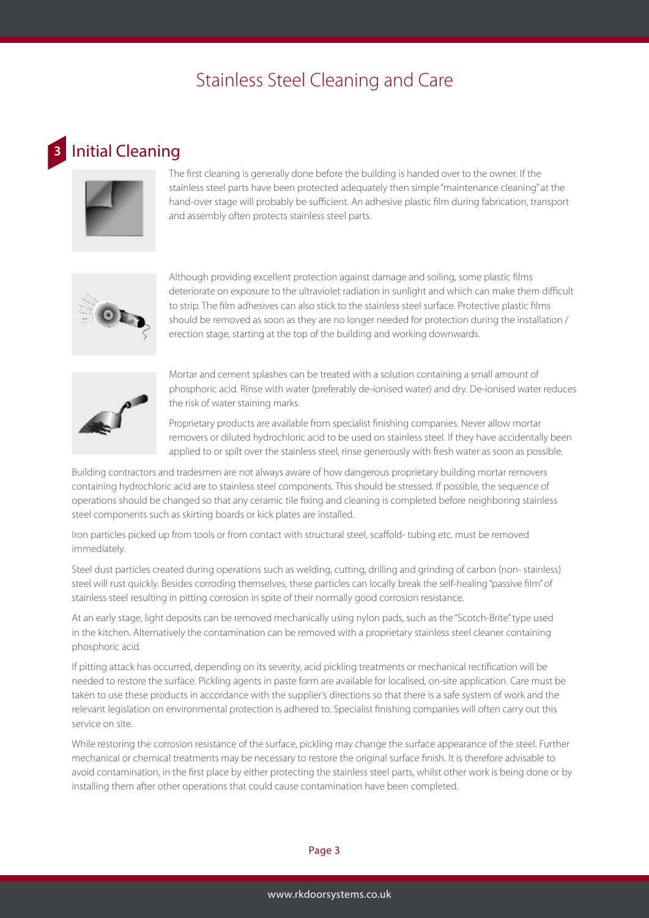### Initial Cleaning

**3**



The first cleaning is generally done before the building is handed over to the owner. If the stainless steel parts have been protected adequately then simple "maintenance cleaning" at the hand-over stage will probably be sufficient. An adhesive plastic film during fabrication, transport and assembly often protects stainless steel parts.



Although providing excellent protection against damage and soiling, some plastic films deteriorate on exposure to the ultraviolet radiation in sunlight and which can make them difficult to strip. The film adhesives can also stick to the stainless steel surface. Protective plastic films should be removed as soon as they are no longer needed for protection during the installation / erection stage, starting at the top of the building and working downwards.



Mortar and cement splashes can be treated with a solution containing a small amount of phosphoric acid. Rinse with water (preferably de-ionised water) and dry. De-ionised water reduces the risk of water staining marks.

Proprietary products are available from specialist finishing companies. Never allow mortar removers or diluted hydrochloric acid to be used on stainless steel. If they have accidentally been applied to or spilt over the stainless steel, rinse generously with fresh water as soon as possible.

Building contractors and tradesmen are not always aware of how dangerous proprietary building mortar removers containing hydrochloric acid are to stainless steel components. This should be stressed. If possible, the sequence of operations should be changed so that any ceramic tile fixing and cleaning is completed before neighboring stainless steel components such as skirting boards or kick plates are installed.

Iron particles picked up from tools or from contact with structural steel, scaffold- tubing etc. must be removed immediately.

Steel dust particles created during operations such as welding, cutting, drilling and grinding of carbon (non- stainless) steel will rust quickly. Besides corroding themselves, these particles can locally break the self-healing "passive film" of stainless steel resulting in pitting corrosion in spite of their normally good corrosion resistance.

At an early stage, light deposits can be removed mechanically using nylon pads, such as the "Scotch-Brite" type used in the kitchen. Alternatively the contamination can be removed with a proprietary stainless steel cleaner containing phosphoric acid.

If pitting attack has occurred, depending on its severity, acid pickling treatments or mechanical rectification will be needed to restore the surface. Pickling agents in paste form are available for localised, on-site application. Care must be taken to use these products in accordance with the supplier's directions so that there is a safe system of work and the relevant legislation on environmental protection is adhered to. Specialist finishing companies will often carry out this service on site.

While restoring the corrosion resistance of the surface, pickling may change the surface appearance of the steel. Further mechanical or chemical treatments may be necessary to restore the original surface finish. It is therefore advisable to avoid contamination, in the first place by either protecting the stainless steel parts, whilst other work is being done or by installing them after other operations that could cause contamination have been completed.

#### Page 3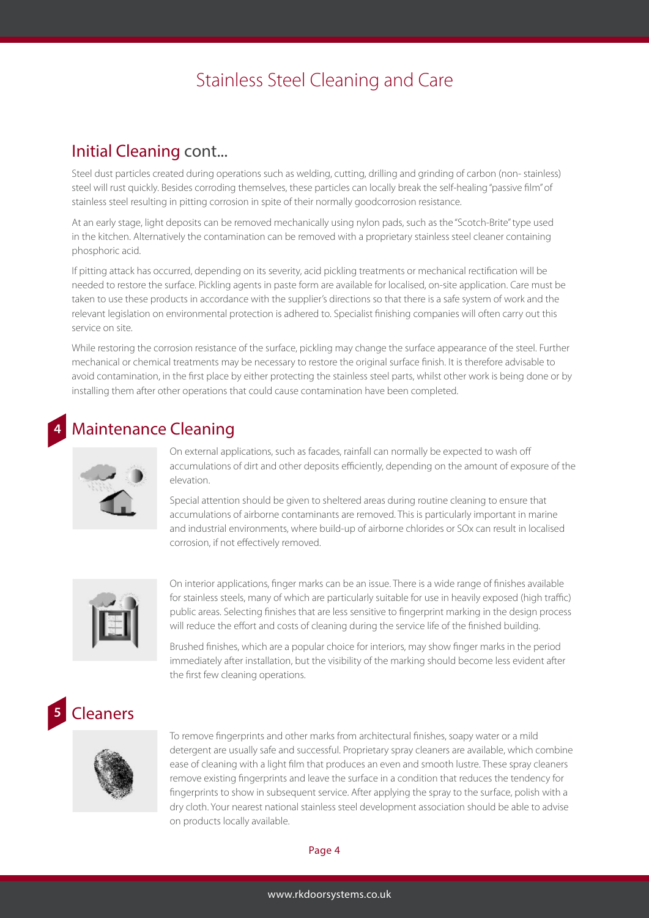#### Initial Cleaning cont...

Steel dust particles created during operations such as welding, cutting, drilling and grinding of carbon (non- stainless) steel will rust quickly. Besides corroding themselves, these particles can locally break the self-healing "passive film" of stainless steel resulting in pitting corrosion in spite of their normally goodcorrosion resistance.

At an early stage, light deposits can be removed mechanically using nylon pads, such as the "Scotch-Brite" type used in the kitchen. Alternatively the contamination can be removed with a proprietary stainless steel cleaner containing phosphoric acid.

If pitting attack has occurred, depending on its severity, acid pickling treatments or mechanical rectification will be needed to restore the surface. Pickling agents in paste form are available for localised, on-site application. Care must be taken to use these products in accordance with the supplier's directions so that there is a safe system of work and the relevant legislation on environmental protection is adhered to. Specialist finishing companies will often carry out this service on site.

While restoring the corrosion resistance of the surface, pickling may change the surface appearance of the steel. Further mechanical or chemical treatments may be necessary to restore the original surface finish. It is therefore advisable to avoid contamination, in the first place by either protecting the stainless steel parts, whilst other work is being done or by installing them after other operations that could cause contamination have been completed.

### Maintenance Cleaning



**4**

On external applications, such as facades, rainfall can normally be expected to wash off accumulations of dirt and other deposits efficiently, depending on the amount of exposure of the elevation.

Special attention should be given to sheltered areas during routine cleaning to ensure that accumulations of airborne contaminants are removed. This is particularly important in marine and industrial environments, where build-up of airborne chlorides or SOx can result in localised corrosion, if not effectively removed.



On interior applications, finger marks can be an issue. There is a wide range of finishes available for stainless steels, many of which are particularly suitable for use in heavily exposed (high traffic) public areas. Selecting finishes that are less sensitive to fingerprint marking in the design process will reduce the effort and costs of cleaning during the service life of the finished building.

Brushed finishes, which are a popular choice for interiors, may show finger marks in the period immediately after installation, but the visibility of the marking should become less evident after the first few cleaning operations.

#### **Cleaners 5**



To remove fingerprints and other marks from architectural finishes, soapy water or a mild detergent are usually safe and successful. Proprietary spray cleaners are available, which combine ease of cleaning with a light film that produces an even and smooth lustre. These spray cleaners remove existing fingerprints and leave the surface in a condition that reduces the tendency for fingerprints to show in subsequent service. After applying the spray to the surface, polish with a dry cloth. Your nearest national stainless steel development association should be able to advise on products locally available.

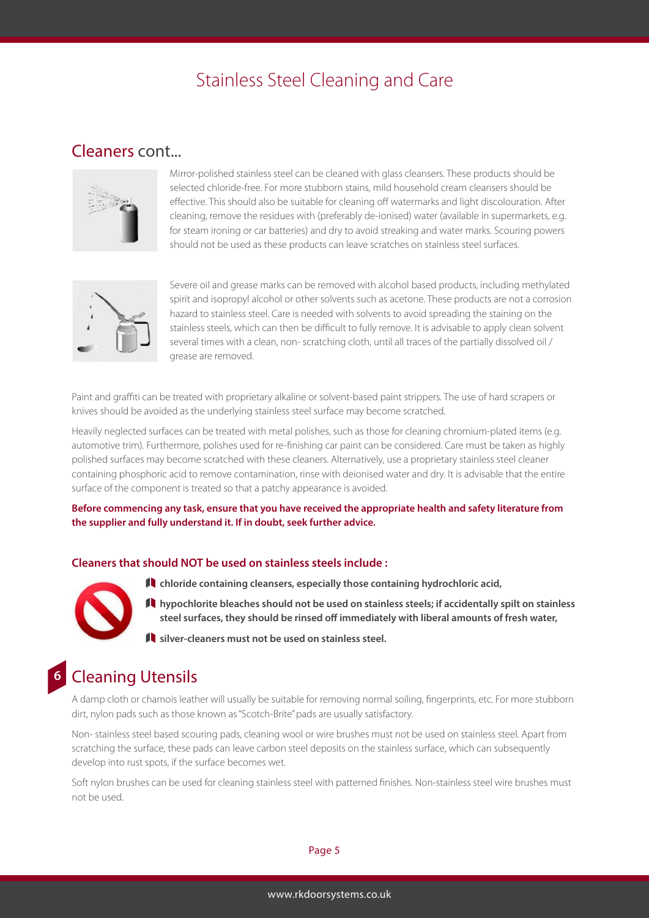#### Cleaners cont...



Mirror-polished stainless steel can be cleaned with glass cleansers. These products should be selected chloride-free. For more stubborn stains, mild household cream cleansers should be effective. This should also be suitable for cleaning off watermarks and light discolouration. After cleaning, remove the residues with (preferably de-ionised) water (available in supermarkets, e.g. for steam ironing or car batteries) and dry to avoid streaking and water marks. Scouring powers should not be used as these products can leave scratches on stainless steel surfaces.



Severe oil and grease marks can be removed with alcohol based products, including methylated spirit and isopropyl alcohol or other solvents such as acetone. These products are not a corrosion hazard to stainless steel. Care is needed with solvents to avoid spreading the staining on the stainless steels, which can then be difficult to fully remove. It is advisable to apply clean solvent several times with a clean, non- scratching cloth, until all traces of the partially dissolved oil / grease are removed.

Paint and graffiti can be treated with proprietary alkaline or solvent-based paint strippers. The use of hard scrapers or knives should be avoided as the underlying stainless steel surface may become scratched.

Heavily neglected surfaces can be treated with metal polishes, such as those for cleaning chromium-plated items (e.g. automotive trim). Furthermore, polishes used for re-finishing car paint can be considered. Care must be taken as highly polished surfaces may become scratched with these cleaners. Alternatively, use a proprietary stainless steel cleaner containing phosphoric acid to remove contamination, rinse with deionised water and dry. It is advisable that the entire surface of the component is treated so that a patchy appearance is avoided.

**Before commencing any task, ensure that you have received the appropriate health and safety literature from the supplier and fully understand it. If in doubt, seek further advice.**

#### **Cleaners that should NOT be used on stainless steels include :**



**6**

- **chloride containing cleansers, especially those containing hydrochloric acid,**
- **hypochlorite bleaches should not be used on stainless steels; if accidentally spilt on stainless steel surfaces, they should be rinsed off immediately with liberal amounts of fresh water,**
- **silver-cleaners must not be used on stainless steel.**

### Cleaning Utensils

A damp cloth or chamois leather will usually be suitable for removing normal soiling, fingerprints, etc. For more stubborn dirt, nylon pads such as those known as "Scotch-Brite" pads are usually satisfactory.

Non- stainless steel based scouring pads, cleaning wool or wire brushes must not be used on stainless steel. Apart from scratching the surface, these pads can leave carbon steel deposits on the stainless surface, which can subsequently develop into rust spots, if the surface becomes wet.

Soft nylon brushes can be used for cleaning stainless steel with patterned finishes. Non-stainless steel wire brushes must not be used.